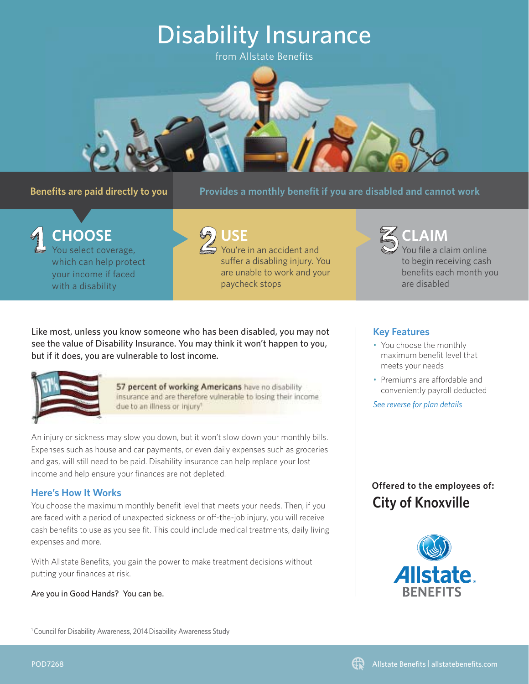# Disability Insurance

from Allstate Benefits



## **Benefits are paid directly to you**

Provides a monthly benefit if you are disabled and cannot work

You select coverage, which can help protect your income if faced with a disability **CHOOSE**



You're in an accident and suffer a disabling injury. You are unable to work and your paycheck stops **USE**

Like most, unless you know someone who has been disabled, you may not see the value of Disability Insurance. You may think it won't happen to you, but if it does, you are vulnerable to lost income.



57 percent of working Americans have no disability insurance and are therefore vulnerable to losing their income due to an illness or injury<sup>1</sup>

An injury or sickness may slow you down, but it won't slow down your monthly bills. Expenses such as house and car payments, or even daily expenses such as groceries and gas, will still need to be paid. Disability insurance can help replace your lost income and help ensure your finances are not depleted.

## **Here's How It Works**

You choose the maximum monthly benefit level that meets your needs. Then, if you are faced with a period of unexpected sickness or off -the-job injury, you will receive cash benefits to use as you see fit. This could include medical treatments, daily living expenses and more.

With Allstate Benefits, you gain the power to make treatment decisions without putting your finances at risk.

Are you in Good Hands? You can be.

<sup>1</sup> Council for Disability Awareness, 2014 Disability Awareness Study

### **Key Features**

• You choose the monthly maximum benefit level that meets your needs

are disabled

**CLAIM**

You file a claim online to begin receiving cash benefits each month you

• Premiums are affordable and conveniently payroll deducted

*See reverse for plan details*

# **City of Knoxville Offered to the employees of:**